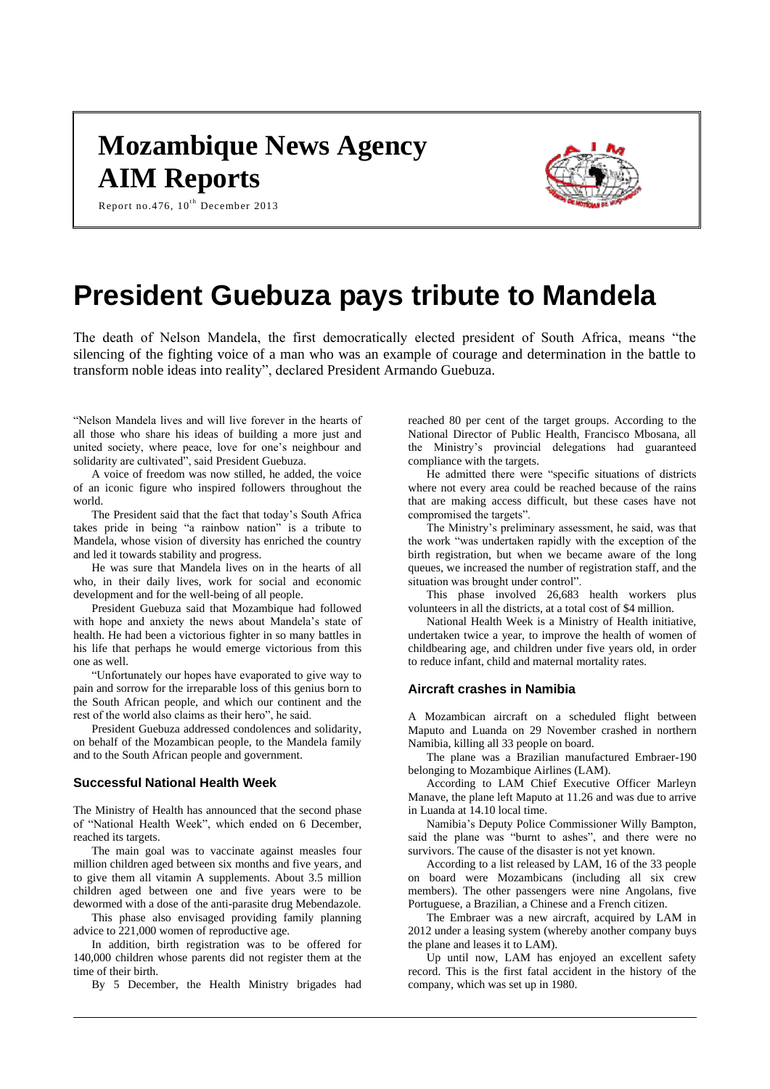## **Mozambique News Agency AIM Reports**



Report no.476,  $10^{\text{th}}$  December 2013

# **President Guebuza pays tribute to Mandela**

The death of Nelson Mandela, the first democratically elected president of South Africa, means "the silencing of the fighting voice of a man who was an example of courage and determination in the battle to transform noble ideas into reality", declared President Armando Guebuza.

"Nelson Mandela lives and will live forever in the hearts of all those who share his ideas of building a more just and united society, where peace, love for one's neighbour and solidarity are cultivated", said President Guebuza.

A voice of freedom was now stilled, he added, the voice of an iconic figure who inspired followers throughout the world.

The President said that the fact that today's South Africa takes pride in being "a rainbow nation" is a tribute to Mandela, whose vision of diversity has enriched the country and led it towards stability and progress.

He was sure that Mandela lives on in the hearts of all who, in their daily lives, work for social and economic development and for the well-being of all people.

President Guebuza said that Mozambique had followed with hope and anxiety the news about Mandela's state of health. He had been a victorious fighter in so many battles in his life that perhaps he would emerge victorious from this one as well.

"Unfortunately our hopes have evaporated to give way to pain and sorrow for the irreparable loss of this genius born to the South African people, and which our continent and the rest of the world also claims as their hero", he said.

President Guebuza addressed condolences and solidarity, on behalf of the Mozambican people, to the Mandela family and to the South African people and government.

#### **Successful National Health Week**

The Ministry of Health has announced that the second phase of "National Health Week", which ended on 6 December, reached its targets.

The main goal was to vaccinate against measles four million children aged between six months and five years, and to give them all vitamin A supplements. About 3.5 million children aged between one and five years were to be dewormed with a dose of the anti-parasite drug Mebendazole.

This phase also envisaged providing family planning advice to 221,000 women of reproductive age.

In addition, birth registration was to be offered for 140,000 children whose parents did not register them at the time of their birth.

By 5 December, the Health Ministry brigades had

reached 80 per cent of the target groups. According to the National Director of Public Health, Francisco Mbosana, all the Ministry's provincial delegations had guaranteed compliance with the targets.

He admitted there were "specific situations of districts where not every area could be reached because of the rains that are making access difficult, but these cases have not compromised the targets".

The Ministry's preliminary assessment, he said, was that the work "was undertaken rapidly with the exception of the birth registration, but when we became aware of the long queues, we increased the number of registration staff, and the situation was brought under control".

This phase involved 26,683 health workers plus volunteers in all the districts, at a total cost of \$4 million.

National Health Week is a Ministry of Health initiative, undertaken twice a year, to improve the health of women of childbearing age, and children under five years old, in order to reduce infant, child and maternal mortality rates.

## **Aircraft crashes in Namibia**

A Mozambican aircraft on a scheduled flight between Maputo and Luanda on 29 November crashed in northern Namibia, killing all 33 people on board.

The plane was a Brazilian manufactured Embraer-190 belonging to Mozambique Airlines (LAM).

According to LAM Chief Executive Officer Marleyn Manave, the plane left Maputo at 11.26 and was due to arrive in Luanda at 14.10 local time.

Namibia's Deputy Police Commissioner Willy Bampton, said the plane was "burnt to ashes", and there were no survivors. The cause of the disaster is not yet known.

According to a list released by LAM, 16 of the 33 people on board were Mozambicans (including all six crew members). The other passengers were nine Angolans, five Portuguese, a Brazilian, a Chinese and a French citizen.

The Embraer was a new aircraft, acquired by LAM in 2012 under a leasing system (whereby another company buys the plane and leases it to LAM).

Up until now, LAM has enjoyed an excellent safety record. This is the first fatal accident in the history of the company, which was set up in 1980.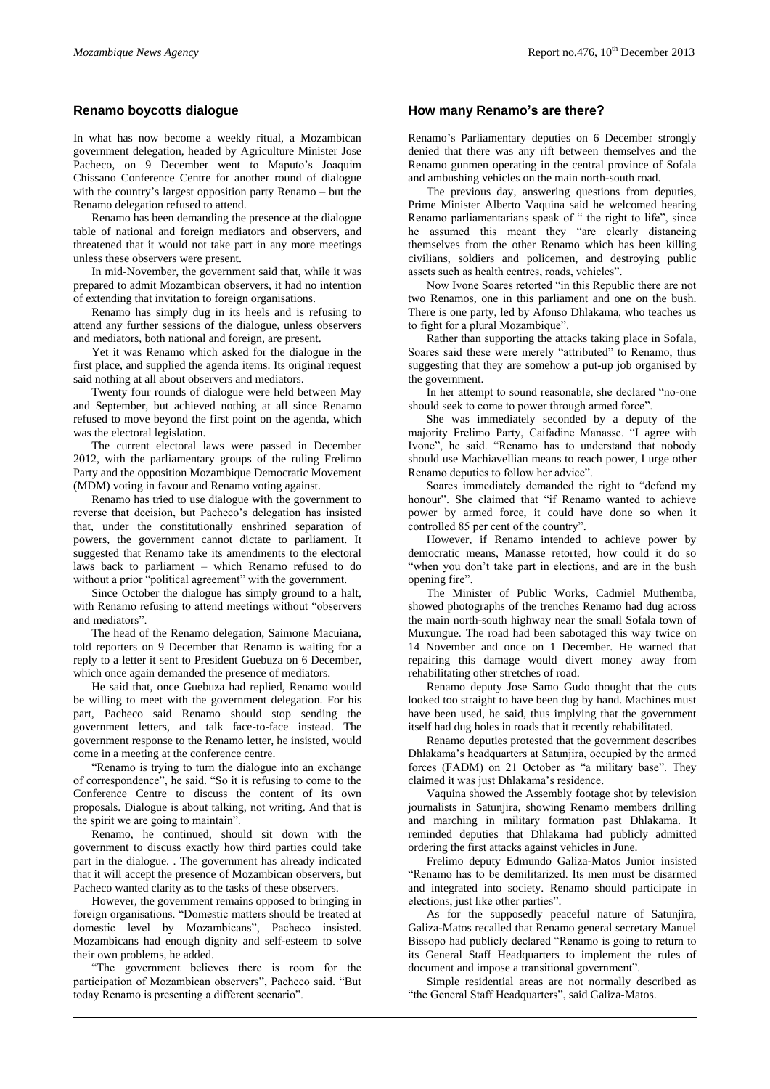## **Renamo boycotts dialogue**

In what has now become a weekly ritual, a Mozambican government delegation, headed by Agriculture Minister Jose Pacheco, on 9 December went to Maputo's Joaquim Chissano Conference Centre for another round of dialogue with the country's largest opposition party Renamo – but the Renamo delegation refused to attend.

Renamo has been demanding the presence at the dialogue table of national and foreign mediators and observers, and threatened that it would not take part in any more meetings unless these observers were present.

In mid-November, the government said that, while it was prepared to admit Mozambican observers, it had no intention of extending that invitation to foreign organisations.

Renamo has simply dug in its heels and is refusing to attend any further sessions of the dialogue, unless observers and mediators, both national and foreign, are present.

Yet it was Renamo which asked for the dialogue in the first place, and supplied the agenda items. Its original request said nothing at all about observers and mediators.

Twenty four rounds of dialogue were held between May and September, but achieved nothing at all since Renamo refused to move beyond the first point on the agenda, which was the electoral legislation.

The current electoral laws were passed in December 2012, with the parliamentary groups of the ruling Frelimo Party and the opposition Mozambique Democratic Movement (MDM) voting in favour and Renamo voting against.

Renamo has tried to use dialogue with the government to reverse that decision, but Pacheco's delegation has insisted that, under the constitutionally enshrined separation of powers, the government cannot dictate to parliament. It suggested that Renamo take its amendments to the electoral laws back to parliament – which Renamo refused to do without a prior "political agreement" with the government.

Since October the dialogue has simply ground to a halt, with Renamo refusing to attend meetings without "observers and mediators".

The head of the Renamo delegation, Saimone Macuiana, told reporters on 9 December that Renamo is waiting for a reply to a letter it sent to President Guebuza on 6 December, which once again demanded the presence of mediators.

He said that, once Guebuza had replied, Renamo would be willing to meet with the government delegation. For his part, Pacheco said Renamo should stop sending the government letters, and talk face-to-face instead. The government response to the Renamo letter, he insisted, would come in a meeting at the conference centre.

"Renamo is trying to turn the dialogue into an exchange of correspondence", he said. "So it is refusing to come to the Conference Centre to discuss the content of its own proposals. Dialogue is about talking, not writing. And that is the spirit we are going to maintain".

Renamo, he continued, should sit down with the government to discuss exactly how third parties could take part in the dialogue. . The government has already indicated that it will accept the presence of Mozambican observers, but Pacheco wanted clarity as to the tasks of these observers.

However, the government remains opposed to bringing in foreign organisations. "Domestic matters should be treated at domestic level by Mozambicans", Pacheco insisted. Mozambicans had enough dignity and self-esteem to solve their own problems, he added.

"The government believes there is room for the participation of Mozambican observers", Pacheco said. "But today Renamo is presenting a different scenario".

### **How many Renamo's are there?**

Renamo's Parliamentary deputies on 6 December strongly denied that there was any rift between themselves and the Renamo gunmen operating in the central province of Sofala and ambushing vehicles on the main north-south road.

The previous day, answering questions from deputies, Prime Minister Alberto Vaquina said he welcomed hearing Renamo parliamentarians speak of " the right to life", since he assumed this meant they "are clearly distancing themselves from the other Renamo which has been killing civilians, soldiers and policemen, and destroying public assets such as health centres, roads, vehicles".

Now Ivone Soares retorted "in this Republic there are not two Renamos, one in this parliament and one on the bush. There is one party, led by Afonso Dhlakama, who teaches us to fight for a plural Mozambique".

Rather than supporting the attacks taking place in Sofala, Soares said these were merely "attributed" to Renamo, thus suggesting that they are somehow a put-up job organised by the government.

In her attempt to sound reasonable, she declared "no-one should seek to come to power through armed force".

She was immediately seconded by a deputy of the majority Frelimo Party, Caifadine Manasse. "I agree with Ivone", he said. "Renamo has to understand that nobody should use Machiavellian means to reach power, I urge other Renamo deputies to follow her advice".

Soares immediately demanded the right to "defend my honour". She claimed that "if Renamo wanted to achieve power by armed force, it could have done so when it controlled 85 per cent of the country".

However, if Renamo intended to achieve power by democratic means, Manasse retorted, how could it do so "when you don't take part in elections, and are in the bush opening fire".

The Minister of Public Works, Cadmiel Muthemba, showed photographs of the trenches Renamo had dug across the main north-south highway near the small Sofala town of Muxungue. The road had been sabotaged this way twice on 14 November and once on 1 December. He warned that repairing this damage would divert money away from rehabilitating other stretches of road.

Renamo deputy Jose Samo Gudo thought that the cuts looked too straight to have been dug by hand. Machines must have been used, he said, thus implying that the government itself had dug holes in roads that it recently rehabilitated.

Renamo deputies protested that the government describes Dhlakama's headquarters at Satunjira, occupied by the armed forces (FADM) on 21 October as "a military base". They claimed it was just Dhlakama's residence.

Vaquina showed the Assembly footage shot by television journalists in Satunjira, showing Renamo members drilling and marching in military formation past Dhlakama. It reminded deputies that Dhlakama had publicly admitted ordering the first attacks against vehicles in June.

Frelimo deputy Edmundo Galiza-Matos Junior insisted "Renamo has to be demilitarized. Its men must be disarmed and integrated into society. Renamo should participate in elections, just like other parties".

As for the supposedly peaceful nature of Satunjira, Galiza-Matos recalled that Renamo general secretary Manuel Bissopo had publicly declared "Renamo is going to return to its General Staff Headquarters to implement the rules of document and impose a transitional government".

Simple residential areas are not normally described as "the General Staff Headquarters", said Galiza-Matos.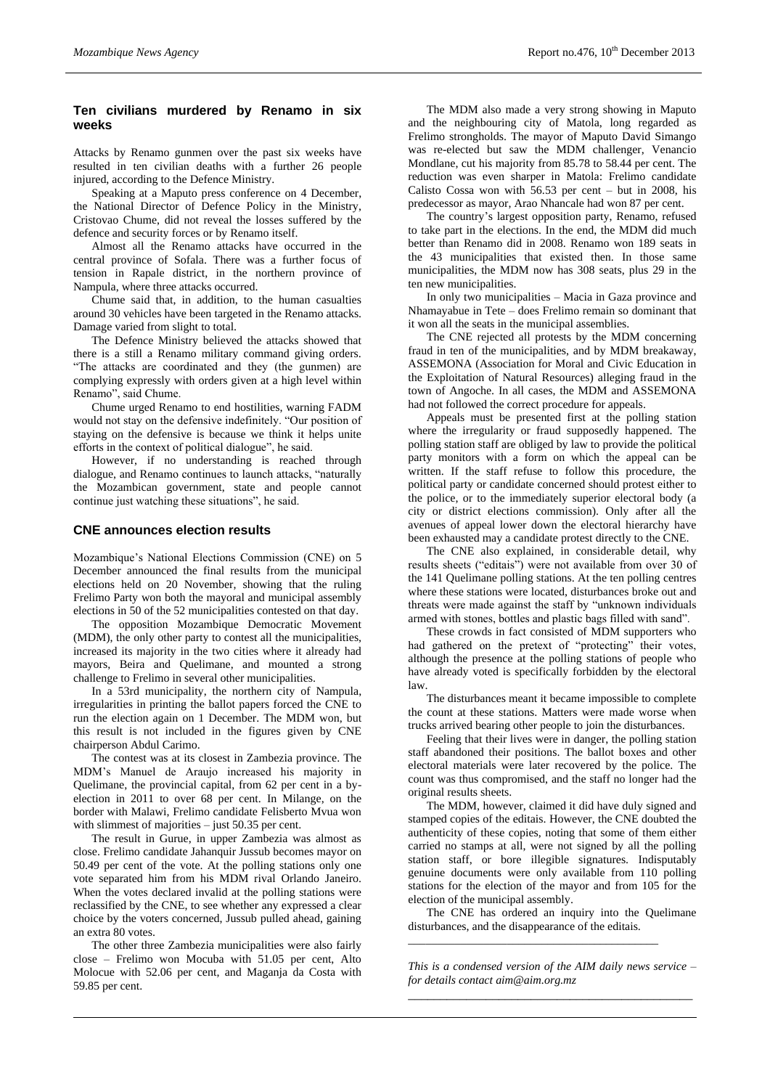## **Ten civilians murdered by Renamo in six weeks**

Attacks by Renamo gunmen over the past six weeks have resulted in ten civilian deaths with a further 26 people injured, according to the Defence Ministry.

Speaking at a Maputo press conference on 4 December, the National Director of Defence Policy in the Ministry, Cristovao Chume, did not reveal the losses suffered by the defence and security forces or by Renamo itself.

Almost all the Renamo attacks have occurred in the central province of Sofala. There was a further focus of tension in Rapale district, in the northern province of Nampula, where three attacks occurred.

Chume said that, in addition, to the human casualties around 30 vehicles have been targeted in the Renamo attacks. Damage varied from slight to total.

The Defence Ministry believed the attacks showed that there is a still a Renamo military command giving orders. "The attacks are coordinated and they (the gunmen) are complying expressly with orders given at a high level within Renamo", said Chume.

Chume urged Renamo to end hostilities, warning FADM would not stay on the defensive indefinitely. "Our position of staying on the defensive is because we think it helps unite efforts in the context of political dialogue", he said.

However, if no understanding is reached through dialogue, and Renamo continues to launch attacks, "naturally the Mozambican government, state and people cannot continue just watching these situations", he said.

## **CNE announces election results**

Mozambique's National Elections Commission (CNE) on 5 December announced the final results from the municipal elections held on 20 November, showing that the ruling Frelimo Party won both the mayoral and municipal assembly elections in 50 of the 52 municipalities contested on that day.

The opposition Mozambique Democratic Movement (MDM), the only other party to contest all the municipalities, increased its majority in the two cities where it already had mayors, Beira and Quelimane, and mounted a strong challenge to Frelimo in several other municipalities.

In a 53rd municipality, the northern city of Nampula, irregularities in printing the ballot papers forced the CNE to run the election again on 1 December. The MDM won, but this result is not included in the figures given by CNE chairperson Abdul Carimo.

The contest was at its closest in Zambezia province. The MDM's Manuel de Araujo increased his majority in Quelimane, the provincial capital, from 62 per cent in a byelection in 2011 to over 68 per cent. In Milange, on the border with Malawi, Frelimo candidate Felisberto Mvua won with slimmest of majorities – just 50.35 per cent.

The result in Gurue, in upper Zambezia was almost as close. Frelimo candidate Jahanquir Jussub becomes mayor on 50.49 per cent of the vote. At the polling stations only one vote separated him from his MDM rival Orlando Janeiro. When the votes declared invalid at the polling stations were reclassified by the CNE, to see whether any expressed a clear choice by the voters concerned, Jussub pulled ahead, gaining an extra 80 votes.

The other three Zambezia municipalities were also fairly close – Frelimo won Mocuba with 51.05 per cent, Alto Molocue with 52.06 per cent, and Maganja da Costa with 59.85 per cent.

The MDM also made a very strong showing in Maputo and the neighbouring city of Matola, long regarded as Frelimo strongholds. The mayor of Maputo David Simango was re-elected but saw the MDM challenger, Venancio Mondlane, cut his majority from 85.78 to 58.44 per cent. The reduction was even sharper in Matola: Frelimo candidate Calisto Cossa won with 56.53 per cent – but in 2008, his predecessor as mayor, Arao Nhancale had won 87 per cent.

The country's largest opposition party, Renamo, refused to take part in the elections. In the end, the MDM did much better than Renamo did in 2008. Renamo won 189 seats in the 43 municipalities that existed then. In those same municipalities, the MDM now has 308 seats, plus 29 in the ten new municipalities.

In only two municipalities – Macia in Gaza province and Nhamayabue in Tete – does Frelimo remain so dominant that it won all the seats in the municipal assemblies.

The CNE rejected all protests by the MDM concerning fraud in ten of the municipalities, and by MDM breakaway, ASSEMONA (Association for Moral and Civic Education in the Exploitation of Natural Resources) alleging fraud in the town of Angoche. In all cases, the MDM and ASSEMONA had not followed the correct procedure for appeals.

Appeals must be presented first at the polling station where the irregularity or fraud supposedly happened. The polling station staff are obliged by law to provide the political party monitors with a form on which the appeal can be written. If the staff refuse to follow this procedure, the political party or candidate concerned should protest either to the police, or to the immediately superior electoral body (a city or district elections commission). Only after all the avenues of appeal lower down the electoral hierarchy have been exhausted may a candidate protest directly to the CNE.

The CNE also explained, in considerable detail, why results sheets ("editais") were not available from over 30 of the 141 Quelimane polling stations. At the ten polling centres where these stations were located, disturbances broke out and threats were made against the staff by "unknown individuals armed with stones, bottles and plastic bags filled with sand".

These crowds in fact consisted of MDM supporters who had gathered on the pretext of "protecting" their votes, although the presence at the polling stations of people who have already voted is specifically forbidden by the electoral law.

The disturbances meant it became impossible to complete the count at these stations. Matters were made worse when trucks arrived bearing other people to join the disturbances.

Feeling that their lives were in danger, the polling station staff abandoned their positions. The ballot boxes and other electoral materials were later recovered by the police. The count was thus compromised, and the staff no longer had the original results sheets.

The MDM, however, claimed it did have duly signed and stamped copies of the editais. However, the CNE doubted the authenticity of these copies, noting that some of them either carried no stamps at all, were not signed by all the polling station staff, or bore illegible signatures. Indisputably genuine documents were only available from 110 polling stations for the election of the mayor and from 105 for the election of the municipal assembly.

The CNE has ordered an inquiry into the Quelimane disturbances, and the disappearance of the editais.

*\_\_\_\_\_\_\_\_\_\_\_\_\_\_\_\_\_\_\_\_\_\_\_\_\_\_\_\_\_\_\_\_\_\_\_\_\_\_\_\_\_\_\_*

*This is a condensed version of the AIM daily news service – for details contac[t aim@aim.org.mz](mailto:aim@aim.org.mz) \_\_\_\_\_\_\_\_\_\_\_\_\_\_\_\_\_\_\_\_\_\_\_\_\_\_\_\_\_\_\_\_\_\_\_\_\_\_\_\_\_\_\_\_*